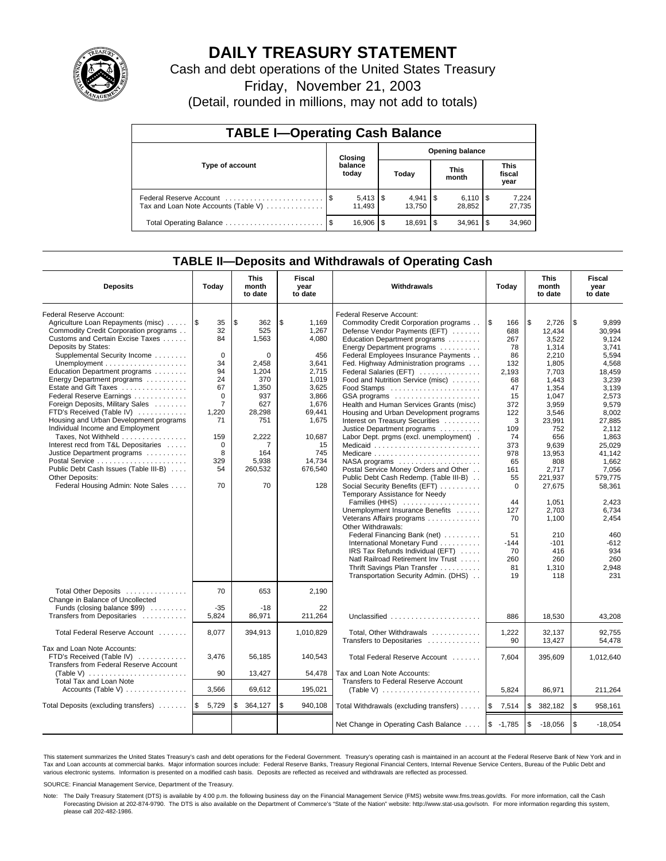

# **DAILY TREASURY STATEMENT**

Cash and debt operations of the United States Treasury

Friday, November 21, 2003

(Detail, rounded in millions, may not add to totals)

| <b>TABLE I-Operating Cash Balance</b>                           |         |                              |                        |                     |                      |                     |                               |                 |  |
|-----------------------------------------------------------------|---------|------------------------------|------------------------|---------------------|----------------------|---------------------|-------------------------------|-----------------|--|
|                                                                 | Closing |                              | <b>Opening balance</b> |                     |                      |                     |                               |                 |  |
| Type of account                                                 |         | balance<br>today             | Today                  |                     | <b>This</b><br>month |                     | <b>This</b><br>fiscal<br>year |                 |  |
| Federal Reserve Account<br>Tax and Loan Note Accounts (Table V) |         | $5,413$ $\sqrt{5}$<br>11.493 |                        | $4.941$ S<br>13.750 |                      | $6.110$ S<br>28,852 |                               | 7,224<br>27,735 |  |
| Total Operating Balance                                         |         | 16.906                       | S                      | 18.691              | \$                   | 34.961              | l \$                          | 34,960          |  |

## **TABLE II—Deposits and Withdrawals of Operating Cash**

| <b>Deposits</b>                                              | Today                                                                                      | <b>This</b><br>month<br>to date | <b>Fiscal</b><br>year<br>to date | <b>Withdrawals</b>                      | Today           | <b>This</b><br>month<br>to date | Fiscal<br>year<br>to date |
|--------------------------------------------------------------|--------------------------------------------------------------------------------------------|---------------------------------|----------------------------------|-----------------------------------------|-----------------|---------------------------------|---------------------------|
| Federal Reserve Account:                                     |                                                                                            |                                 |                                  | Federal Reserve Account:                |                 |                                 |                           |
| Agriculture Loan Repayments (misc)                           | $\sqrt{3}$<br>35                                                                           | \$<br>362                       | \$<br>1,169                      | Commodity Credit Corporation programs   | <b>S</b><br>166 | \$<br>2,726                     | \$<br>9,899               |
| Commodity Credit Corporation programs                        | 32                                                                                         | 525                             | 1,267                            | Defense Vendor Payments (EFT)           | 688             | 12.434                          | 30.994                    |
| Customs and Certain Excise Taxes                             | 84                                                                                         | 1,563                           | 4.080                            | Education Department programs           | 267             | 3,522                           | 9.124                     |
| Deposits by States:                                          |                                                                                            |                                 |                                  | Energy Department programs              | 78              | 1,314                           | 3.741                     |
| Supplemental Security Income                                 | $\mathbf 0$                                                                                | 0                               | 456                              | Federal Employees Insurance Payments    | 86              | 2,210                           | 5,594                     |
|                                                              | 34                                                                                         | 2.458                           | 3,641                            | Fed. Highway Administration programs    | 132             | 1,805                           | 4,568                     |
| Education Department programs                                | 94                                                                                         | 1,204                           | 2,715                            | Federal Salaries (EFT)                  | 2,193           | 7,703                           | 18,459                    |
| Energy Department programs                                   | 24                                                                                         | 370                             | 1,019                            | Food and Nutrition Service (misc)       | 68              | 1,443                           | 3,239                     |
| Estate and Gift Taxes                                        | 67                                                                                         | 1.350                           | 3.625                            | Food Stamps                             | 47              | 1.354                           | 3.139                     |
| Federal Reserve Earnings                                     | $\Omega$                                                                                   | 937                             | 3,866                            | GSA programs                            | 15              | 1,047                           | 2,573                     |
| Foreign Deposits, Military Sales                             | $\overline{7}$                                                                             | 627                             | 1,676                            | Health and Human Services Grants (misc) | 372             | 3,959                           | 9,579                     |
| FTD's Received (Table IV)                                    | 1,220                                                                                      | 28,298                          | 69,441                           | Housing and Urban Development programs  | 122             | 3,546                           | 8.002                     |
| Housing and Urban Development programs                       | 71                                                                                         | 751                             | 1,675                            | Interest on Treasury Securities         | 3               | 23,991                          | 27,885                    |
| Individual Income and Employment                             |                                                                                            |                                 |                                  | Justice Department programs             | 109             | 752                             | 2,112                     |
| Taxes, Not Withheld                                          | 159                                                                                        | 2,222                           | 10,687                           | Labor Dept. prgms (excl. unemployment). | 74              | 656                             | 1,863                     |
| Interest recd from T&L Depositaries                          | $\mathbf 0$                                                                                | $\overline{7}$                  | 15                               |                                         | 373             | 9.639                           | 25.029                    |
| Justice Department programs                                  | 8                                                                                          | 164                             | 745                              | Medicare                                | 978             | 13,953                          | 41,142                    |
|                                                              | 329                                                                                        | 5,938                           | 14,734                           |                                         | 65              | 808                             | 1,662                     |
| Public Debt Cash Issues (Table III-B)                        | 54                                                                                         | 260,532                         | 676,540                          | Postal Service Money Orders and Other   | 161             | 2.717                           | 7.056                     |
| <b>Other Deposits:</b>                                       |                                                                                            |                                 |                                  | Public Debt Cash Redemp. (Table III-B)  | 55              | 221,937                         | 579,775                   |
| Federal Housing Admin: Note Sales                            | 70                                                                                         | 70                              | 128                              | Social Security Benefits (EFT)          | $\mathbf 0$     | 27,675                          | 58,361                    |
|                                                              |                                                                                            |                                 |                                  | Temporary Assistance for Needy          |                 |                                 |                           |
|                                                              |                                                                                            |                                 |                                  | Families (HHS)                          | 44              | 1.051                           | 2.423                     |
|                                                              |                                                                                            |                                 |                                  | Unemployment Insurance Benefits         | 127             | 2,703                           | 6,734                     |
|                                                              |                                                                                            |                                 |                                  | Veterans Affairs programs               | 70              | 1,100                           | 2,454                     |
|                                                              |                                                                                            |                                 |                                  | Other Withdrawals:                      |                 |                                 |                           |
|                                                              |                                                                                            |                                 |                                  | Federal Financing Bank (net)            | 51              | 210                             | 460                       |
|                                                              |                                                                                            |                                 |                                  | International Monetary Fund             | $-144$          | $-101$                          | $-612$                    |
|                                                              |                                                                                            |                                 |                                  | IRS Tax Refunds Individual (EFT)        | 70              | 416                             | 934                       |
|                                                              |                                                                                            |                                 |                                  | Natl Railroad Retirement Inv Trust      | 260             | 260                             | 260                       |
|                                                              |                                                                                            |                                 |                                  | Thrift Savings Plan Transfer            | 81              | 1,310                           | 2,948                     |
|                                                              |                                                                                            |                                 |                                  | Transportation Security Admin. (DHS)    | 19              | 118                             | 231                       |
|                                                              |                                                                                            |                                 |                                  |                                         |                 |                                 |                           |
| Total Other Deposits                                         | 70                                                                                         | 653                             | 2.190                            |                                         |                 |                                 |                           |
| Change in Balance of Uncollected                             |                                                                                            |                                 |                                  |                                         |                 |                                 |                           |
| Funds (closing balance \$99)                                 | $-35$                                                                                      | $-18$                           | 22                               |                                         |                 |                                 |                           |
| Transfers from Depositaries                                  | 5.824                                                                                      | 86,971                          | 211.264                          | Unclassified                            | 886             | 18.530                          | 43.208                    |
| Total Federal Reserve Account                                | 8,077                                                                                      | 394,913                         | 1,010,829                        | Total, Other Withdrawals                | 1,222           | 32,137                          | 92,755                    |
|                                                              |                                                                                            |                                 |                                  | Transfers to Depositaries               | 90              | 13,427                          | 54.478                    |
| Tax and Loan Note Accounts:                                  |                                                                                            |                                 |                                  |                                         |                 |                                 |                           |
| FTD's Received (Table IV)                                    | 3,476                                                                                      | 56,185                          | 140,543                          | Total Federal Reserve Account           | 7,604           | 395,609                         | 1,012,640                 |
| Transfers from Federal Reserve Account                       |                                                                                            |                                 |                                  |                                         |                 |                                 |                           |
| (Table V) $\ldots \ldots \ldots \ldots \ldots \ldots \ldots$ | 90                                                                                         | 13,427                          | 54,478                           | Tax and Loan Note Accounts:             |                 |                                 |                           |
| <b>Total Tax and Loan Note</b>                               |                                                                                            |                                 |                                  | Transfers to Federal Reserve Account    |                 |                                 |                           |
| Accounts (Table V)                                           | 3,566<br>69,612<br>195,021<br>(Table V) $\ldots \ldots \ldots \ldots \ldots \ldots \ldots$ |                                 | 5,824                            | 86,971                                  | 211,264         |                                 |                           |
| Total Deposits (excluding transfers)                         | I \$<br>5,729                                                                              | 364,127<br>\$                   | \$<br>940,108                    | Total Withdrawals (excluding transfers) | ۱\$<br>7,514    | \$<br>382,182                   | \$<br>958,161             |
|                                                              |                                                                                            |                                 |                                  |                                         |                 |                                 |                           |
|                                                              |                                                                                            |                                 |                                  | Net Change in Operating Cash Balance    | $$ -1,785$      | \$<br>$-18,056$                 | l \$<br>$-18,054$         |

This statement summarizes the United States Treasury's cash and debt operations for the Federal Government. Treasury's operating cash is maintained in an account at the Federal Reserve Bank of New York and in Tax and Loan accounts at commercial banks. Major information sources include: Federal Reserve Banks, Treasury Regional Financial Centers, Internal Revenue Service Centers, Bureau of the Public Debt and<br>various electronic s

SOURCE: Financial Management Service, Department of the Treasury.

Note: The Daily Treasury Statement (DTS) is available by 4:00 p.m. the following business day on the Financial Management Service (FMS) website www.fms.treas.gov/dts. For more information, call the Cash Forecasting Division at 202-874-9790. The DTS is also available on the Department of Commerce's "State of the Nation" website: http://www.stat-usa.gov/sotn. For more information regarding this system, please call 202-482-1986.